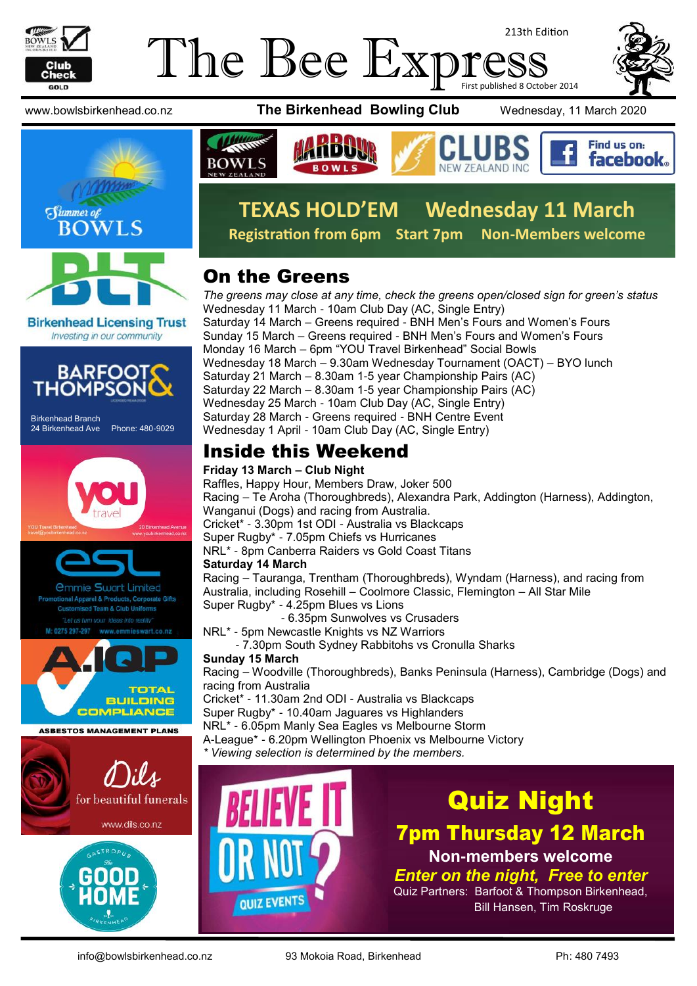

### The Bee Exp 213th Edition First published 8 October 2014



**Birkenhead Licensing Trust** Investing in our community



Birkenhead Branch 24 Birkenhead Ave Phone: 480-9029





**ASBESTOS MANAGEMENT PLANS** 



**BUILDING COMPLIANCE** 



www.bowlsbirkenhead.co.nz **The Birkenhead Bowling Club** Wednesday, 11 March 2020







# **TEXAS HOLD'EM Wednesday 11 March**

**Registration from 6pm Start 7pm Non-Members welcome**

### On the Greens

*The greens may close at any time, check the greens open/closed sign for green's status* Wednesday 11 March - 10am Club Day (AC, Single Entry) Saturday 14 March – Greens required - BNH Men's Fours and Women's Fours Sunday 15 March – Greens required - BNH Men's Fours and Women's Fours Monday 16 March – 6pm "YOU Travel Birkenhead" Social Bowls Wednesday 18 March – 9.30am Wednesday Tournament (OACT) – BYO lunch Saturday 21 March – 8.30am 1-5 year Championship Pairs (AC) Saturday 22 March – 8.30am 1-5 year Championship Pairs (AC) Wednesday 25 March - 10am Club Day (AC, Single Entry) Saturday 28 March - Greens required - BNH Centre Event Wednesday 1 April - 10am Club Day (AC, Single Entry)

### Inside this Weekend

#### **Friday 13 March – Club Night**

Raffles, Happy Hour, Members Draw, Joker 500 Racing – Te Aroha (Thoroughbreds), Alexandra Park, Addington (Harness), Addington, Wanganui (Dogs) and racing from Australia. Cricket\* - 3.30pm 1st ODI - Australia vs Blackcaps Super Rugby\* - 7.05pm Chiefs vs Hurricanes NRL\* - 8pm Canberra Raiders vs Gold Coast Titans **Saturday 14 March** Racing – Tauranga, Trentham (Thoroughbreds), Wyndam (Harness), and racing from

Australia, including Rosehill – Coolmore Classic, Flemington – All Star Mile Super Rugby\* - 4.25pm Blues vs Lions

- 6.35pm Sunwolves vs Crusaders
- NRL\* 5pm Newcastle Knights vs NZ Warriors
	- 7.30pm South Sydney Rabbitohs vs Cronulla Sharks

### **Sunday 15 March**

Racing – Woodville (Thoroughbreds), Banks Peninsula (Harness), Cambridge (Dogs) and racing from Australia

Cricket\* - 11.30am 2nd ODI - Australia vs Blackcaps Super Rugby\* - 10.40am Jaguares vs Highlanders

NRL\* - 6.05pm Manly Sea Eagles vs Melbourne Storm A-League\* - 6.20pm Wellington Phoenix vs Melbourne Victory

*\* Viewing selection is determined by the members.*



# Quiz Night

7pm Thursday 12 March **Non-members welcome**

*Enter on the night, Free to enter* Quiz Partners: Barfoot & Thompson Birkenhead, Bill Hansen, Tim Roskruge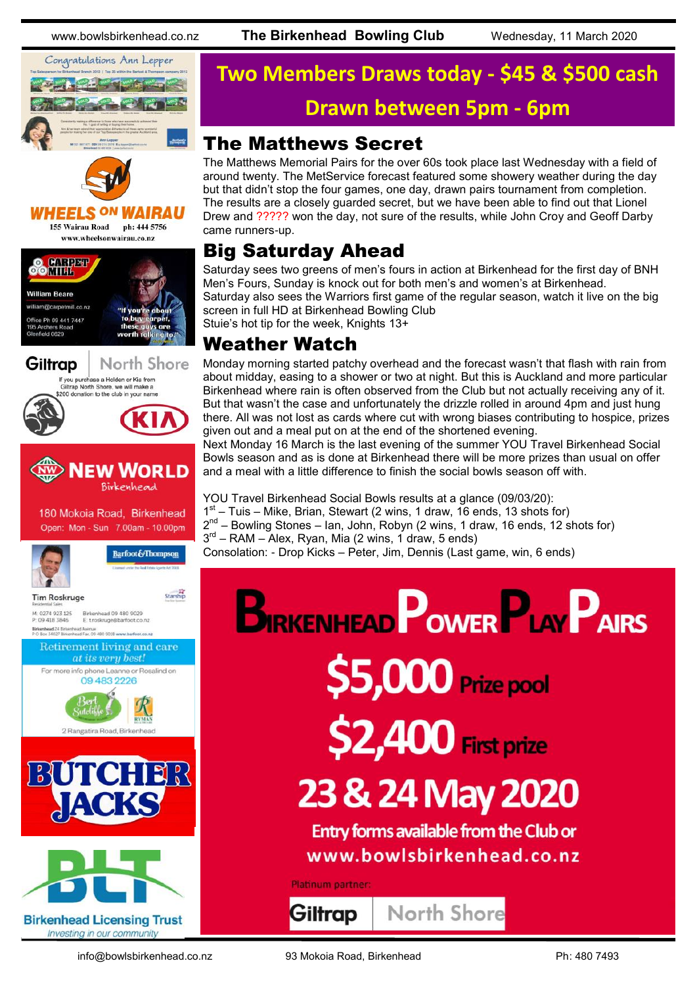



**HEELS ON** *WAIRAU* 155 Wairau Road ph: 444 5756

www.wheelsonwairau.co.nz







180 Mokoia Road, Birkenhead Open: Mon - Sun 7.00am - 10.00pm



Barfoot&Thompson



Starship



Birkenhaad 09,480,9029 P 09 418 3846 E: troskruge@barfoot.co.nz Birkenhead 24 Birkenh ead Avenue<br>ead Fax. 09 480 9018 www.barfoot.co.nz









# **Two Members Draws today - \$45 & \$500 cash Drawn between 5pm - 6pm**

### The Matthews Secret

The Matthews Memorial Pairs for the over 60s took place last Wednesday with a field of around twenty. The MetService forecast featured some showery weather during the day but that didn't stop the four games, one day, drawn pairs tournament from completion. The results are a closely guarded secret, but we have been able to find out that Lionel Drew and ????? won the day, not sure of the results, while John Croy and Geoff Darby came runners-up.

### Big Saturday Ahead

Saturday sees two greens of men's fours in action at Birkenhead for the first day of BNH Men's Fours, Sunday is knock out for both men's and women's at Birkenhead. Saturday also sees the Warriors first game of the regular season, watch it live on the big screen in full HD at Birkenhead Bowling Club

Stuie's hot tip for the week, Knights 13+

### Weather Watch

Monday morning started patchy overhead and the forecast wasn't that flash with rain from about midday, easing to a shower or two at night. But this is Auckland and more particular Birkenhead where rain is often observed from the Club but not actually receiving any of it. But that wasn't the case and unfortunately the drizzle rolled in around 4pm and just hung there. All was not lost as cards where cut with wrong biases contributing to hospice, prizes given out and a meal put on at the end of the shortened evening.

Next Monday 16 March is the last evening of the summer YOU Travel Birkenhead Social Bowls season and as is done at Birkenhead there will be more prizes than usual on offer and a meal with a little difference to finish the social bowls season off with.

YOU Travel Birkenhead Social Bowls results at a glance (09/03/20):

- 1<sup>st</sup> Tuis Mike, Brian, Stewart (2 wins, 1 draw, 16 ends, 13 shots for)
- 2<sup>nd</sup> Bowling Stones Ian, John, Robyn (2 wins, 1 draw, 16 ends, 12 shots for)

3<sup>rd</sup> – RAM – Alex, Ryan, Mia (2 wins, 1 draw, 5 ends)

Consolation: - Drop Kicks – Peter, Jim, Dennis (Last game, win, 6 ends)

# **BIRKENHEAD POWER PLAY PAIRS** \$5,000 Prize pool \$2,400 First prize 23 & 24 May 2020 Entry forms available from the Club or www.bowlsbirkenhead.co.nz Platinum partner:

North Shore

Giltrap

info@bowlsbirkenhead.co.nz 93 Mokoia Road, Birkenhead Ph: 480 7493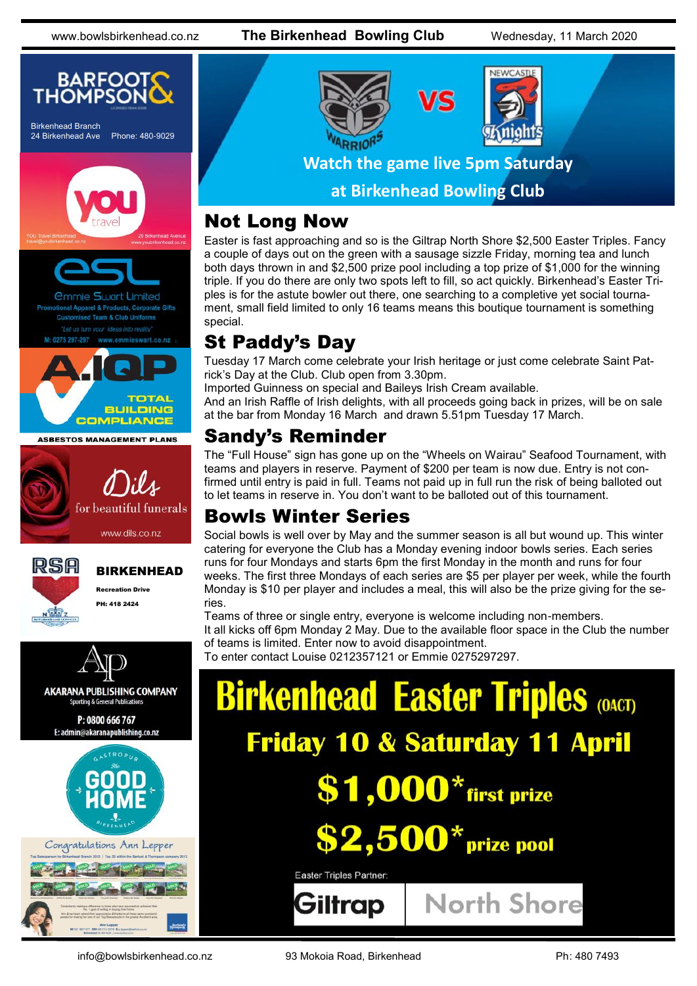www.bowlsbirkenhead.co.nz **The Birkenhead Bowling Club** Wednesday, 11 March 2020





### Not Long Now

Easter is fast approaching and so is the Giltrap North Shore \$2,500 Easter Triples. Fancy a couple of days out on the green with a sausage sizzle Friday, morning tea and lunch both days thrown in and \$2,500 prize pool including a top prize of \$1,000 for the winning triple. If you do there are only two spots left to fill, so act quickly. Birkenhead's Easter Triples is for the astute bowler out there, one searching to a completive yet social tournament, small field limited to only 16 teams means this boutique tournament is something special.

## St Paddy's Day

Tuesday 17 March come celebrate your Irish heritage or just come celebrate Saint Patrick's Day at the Club. Club open from 3.30pm.

Imported Guinness on special and Baileys Irish Cream available.

And an Irish Raffle of Irish delights, with all proceeds going back in prizes, will be on sale at the bar from Monday 16 March and drawn 5.51pm Tuesday 17 March.

### Sandy's Reminder

The "Full House" sign has gone up on the "Wheels on Wairau" Seafood Tournament, with teams and players in reserve. Payment of \$200 per team is now due. Entry is not confirmed until entry is paid in full. Teams not paid up in full run the risk of being balloted out to let teams in reserve in. You don't want to be balloted out of this tournament.

### Bowls Winter Series

Social bowls is well over by May and the summer season is all but wound up. This winter catering for everyone the Club has a Monday evening indoor bowls series. Each series runs for four Mondays and starts 6pm the first Monday in the month and runs for four weeks. The first three Mondays of each series are \$5 per player per week, while the fourth Monday is \$10 per player and includes a meal, this will also be the prize giving for the series.

Teams of three or single entry, everyone is welcome including non-members. It all kicks off 6pm Monday 2 May. Due to the available floor space in the Club the number of teams is limited. Enter now to avoid disappointment.

To enter contact Louise 0212357121 or Emmie 0275297297.

| <b>Birkenhead Easter Triples (OACT)</b>  |                    |
|------------------------------------------|--------------------|
| <b>Friday 10 &amp; Saturday 11 April</b> |                    |
| $$1,000*$ first prize                    |                    |
| $$2,500*$ prize pool                     |                    |
| Easter Triples Partner:                  |                    |
| Giltrap                                  | <b>North Shore</b> |

info@bowlsbirkenhead.co.nz 93 Mokoia Road, Birkenhead Ph: 480 7493